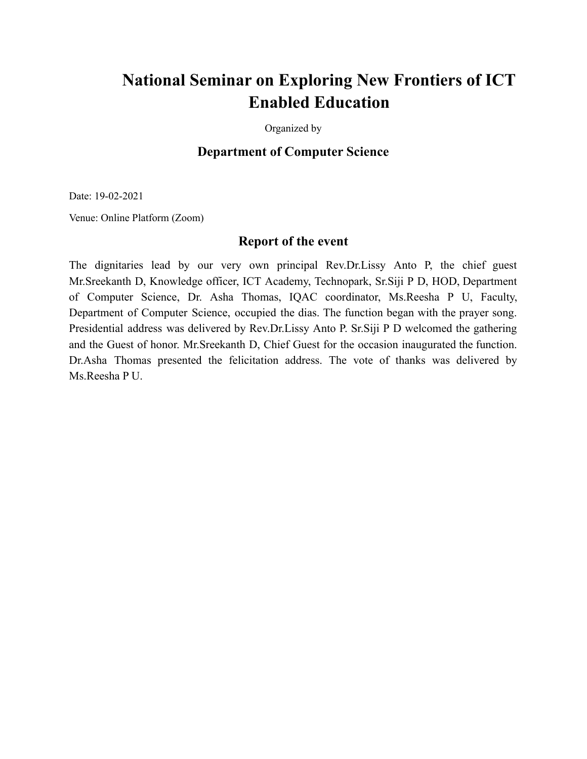## **National Seminar on Exploring New Frontiers of ICT Enabled Education**

Organized by

## **Department of Computer Science**

Date: 19-02-2021

Venue: Online Platform (Zoom)

## **Report of the event**

The dignitaries lead by our very own principal Rev.Dr.Lissy Anto P, the chief guest Mr.Sreekanth D, Knowledge officer, ICT Academy, Technopark, Sr.Siji P D, HOD, Department of Computer Science, Dr. Asha Thomas, IQAC coordinator, Ms.Reesha P U, Faculty, Department of Computer Science, occupied the dias. The function began with the prayer song. Presidential address was delivered by Rev.Dr.Lissy Anto P. Sr.Siji P D welcomed the gathering and the Guest of honor. Mr.Sreekanth D, Chief Guest for the occasion inaugurated the function. Dr.Asha Thomas presented the felicitation address. The vote of thanks was delivered by Ms.Reesha P U.